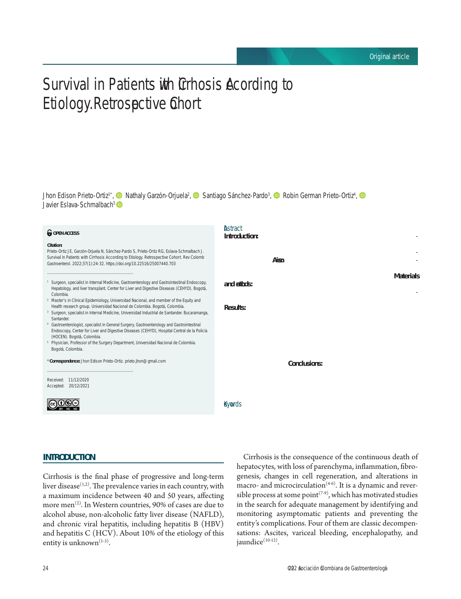# Survival in Patients with Cirrhosis According to Etiology. Retrospective Cohort

Jhon Edison Prieto-Ortiz<sup>1\*</sup>[,](https://orcid.org/0000-0001-7605-760X) © Nathaly Garzón-Orjuela<sup>2</sup>, © Santiago Sánchez-Pardo<sup>3</sup>, © Robin German Prieto-Ortiz<sup>4</sup>, Javier Eslava-Schmalbach<sup>5</sup>

#### *<u>O</del>* OPEN ACCESS</u>

#### **Citation:**

Prieto-Ortiz JE, Garzón-Orjuela N, Sánchez-Pardo S, Prieto-Ortiz RG, Eslava-Schmalbach J. Survival in Patients with Cirrhosis According to Etiology. Retrospective Cohort. Rev Colomb Gastroenterol. 2022;37(1):24-32. https://doi.org/10.22516/25007440.703

- Surgeon, specialist in Internal Medicine, Gastroenterology and Gastrointestinal Endoscopy, Hepatology, and liver transplant. Center for Liver and Digestive Diseases (CEHYD). Bogotá, Colombia.
- <sup>2</sup> Master's in Clinical Epidemiology, Universidad Nacional, and member of the Equity and Health research group. Universidad Nacional de Colombia. Bogotá, Colombia.
- <sup>3</sup> Surgeon, specialist in Internal Medicine, Universidad Industrial de Santander. Bucaramanga, Santander.
- <sup>4</sup> Gastroenterologist, specialist in General Surgery, Gastroenterology and Gastrointestinal Endoscopy, Center for Liver and Digestive Diseases (CEHYD), Hospital Central de la Policía (HOCEN). Bogotá, Colombia.
- <sup>5</sup> Physician, Professor of the Surgery Department, Universidad Nacional de Colombia Bogotá, Colombia.

\***Correspondence:** Jhon Edison Prieto-Ortiz. prieto.jhon@gmail.com

............................................................................

............................................................................





#### **Abstract**

**Introduction:** Cirrhosis is the final stage of chronically progressive liver diseases of various etiologies. It is a common disease, with a variable prevalence in each country. Its peak incidence occurs between 40 and 50 years of age, predominantly in men. **Aims:** To compare a cohort of patients diagnosed with cirrhosis, evaluate their complications and survival according to etiology, describe clinical and laboratory aspects, and determine the role of a fatty liver. **Materials and methods:** A retrospective cohort study was carried out with patients who held a specialized hepatology consultation in the center of liver and digestive diseases (CEHYD) in Bogotá, Colombia, between January 2010 and June 2019. **Results:** We reviewed a total of 1,200 medical records (56.8% women). There were no statistically significant differences in median survival between groups by etiology, sex, presence or absence of complications, or Child. We noted that the older the age at the diagnosis of cirrhosis, the higher the risk of death; HR 1.04 (95% CI 1.02-1.075). For each month that follow-up increases, the risk of death decreases by 90%; HR 0.1 (95% CI 0.03-0.29). For each month that the follow-up of complications increases, the risk of death is reduced by 2%; HR 0.98 (95% CI 0.97-0.99). **Conclusions:** Survival by etiology was similar in the different groups. Nonalcoholic steatohepatitis (NASH) was the leading cause of cirrhosis in this cohort. Efforts should focus on its diagnosis and management in the early stages.

#### **Keywords**

Liver cirrhosis, survival, fatty liver, nonalcoholic fatty liver disease.

#### **INTRODUCTION**

Cirrhosis is the final phase of progressive and long-term liver disease $(1,2)$ . The prevalence varies in each country, with a maximum incidence between 40 and 50 years, affecting more men<sup>(2)</sup>. In Western countries, 90% of cases are due to alcohol abuse, non-alcoholic fatty liver disease (NAFLD), and chronic viral hepatitis, including hepatitis B (HBV) and hepatitis C (HCV). About 10% of the etiology of this entity is unknown $(1-3)$ .

Cirrhosis is the consequence of the continuous death of hepatocytes, with loss of parenchyma, inflammation, fibrogenesis, changes in cell regeneration, and alterations in macro- and microcirculation<sup> $(4-6)$ </sup>. It is a dynamic and reversible process at some point<sup>(7.9)</sup>, which has motivated studies in the search for adequate management by identifying and monitoring asymptomatic patients and preventing the entity's complications. Four of them are classic decompensations: Ascites, variceal bleeding, encephalopathy, and iaundice<sup>(10-12)</sup>.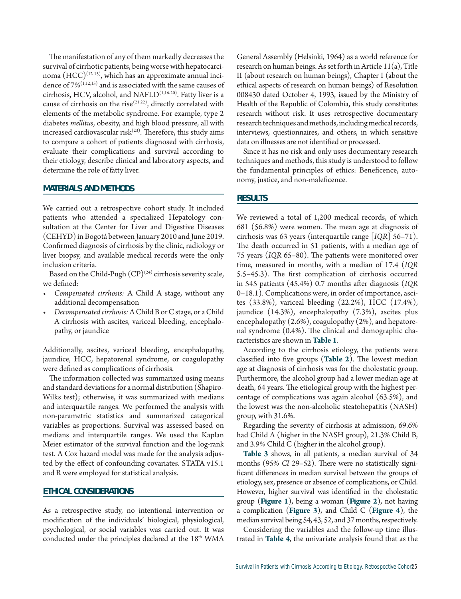The manifestation of any of them markedly decreases the survival of cirrhotic patients, being worse with hepatocarcinoma  $(HCC)^{(12-15)}$ , which has an approximate annual incidence of  $7\%^{(1,12,15)}$  and is associated with the same causes of cirrhosis, HCV, alcohol, and NAFLD<sup>(1,16-20)</sup>. Fatty liver is a cause of cirrhosis on the rise<sup> $(21,22)$ </sup>, directly correlated with elements of the metabolic syndrome. For example, type 2 diabetes *mellitus*, obesity, and high blood pressure, all with increased cardiovascular risk $(23)$ . Therefore, this study aims to compare a cohort of patients diagnosed with cirrhosis, evaluate their complications and survival according to their etiology, describe clinical and laboratory aspects, and determine the role of fatty liver.

#### **MATERIALS AND METHODS**

We carried out a retrospective cohort study. It included patients who attended a specialized Hepatology consultation at the Center for Liver and Digestive Diseases (CEHYD) in Bogotá between January 2010 and June 2019. Confirmed diagnosis of cirrhosis by the clinic, radiology or liver biopsy, and available medical records were the only inclusion criteria.

Based on the Child-Pugh  $(CP)^{(24)}$  cirrhosis severity scale, we defined:

- Compensated cirrhosis: A Child A stage, without any additional decompensation
- *• Decompensated cirrhosis:*A Child B or C stage, or a Child A cirrhosis with ascites, variceal bleeding, encephalopathy, or jaundice

Additionally, ascites, variceal bleeding, encephalopathy, jaundice, HCC, hepatorenal syndrome, or coagulopathy were defined as complications of cirrhosis.

The information collected was summarized using means and standard deviations for a normal distribution (Shapiro-Wilks test); otherwise, it was summarized with medians and interquartile ranges. We performed the analysis with non-parametric statistics and summarized categorical variables as proportions. Survival was assessed based on medians and interquartile ranges. We used the Kaplan Meier estimator of the survival function and the log-rank test. A Cox hazard model was made for the analysis adjusted by the effect of confounding covariates. STATA v15.1 and R were employed for statistical analysis.

## **ETHICAL CONSIDERATIONS**

As a retrospective study, no intentional intervention or modification of the individuals' biological, physiological, psychological, or social variables was carried out. It was conducted under the principles declared at the 18<sup>th</sup> WMA General Assembly (Helsinki, 1964) as a world reference for research on human beings. As set forth in Article 11(a), Title II (about research on human beings), Chapter I (about the ethical aspects of research on human beings) of Resolution 008430 dated October 4, 1993, issued by the Ministry of Health of the Republic of Colombia, this study constitutes research without risk. It uses retrospective documentary research techniques and methods, including medical records, interviews, questionnaires, and others, in which sensitive data on illnesses are not identified or processed.

Since it has no risk and only uses documentary research techniques and methods, this study is understood to follow the fundamental principles of ethics: Beneficence, autonomy, justice, and non-maleficence.

#### **RESULTS**

We reviewed a total of 1,200 medical records, of which 681 (56.8%) were women. The mean age at diagnosis of cirrhosis was 63 years (interquartile range [*IQR*] 56–71). The death occurred in 51 patients, with a median age of 75 years (*IQR* 65–80). The patients were monitored over time, measured in months, with a median of 17.4 (*IQR* 5.5–45.3). The first complication of cirrhosis occurred in 545 patients (45.4%) 0.7 months after diagnosis (*IQR* 0–18.1). Complications were, in order of importance, ascites (33.8%), variceal bleeding (22.2%), HCC (17.4%), jaundice (14.3%), encephalopathy (7.3%), ascites plus encephalopathy (2.6%), coagulopathy (2%), and hepatorenal syndrome (0.4%). The clinical and demographic characteristics are shown in **Table 1**.

According to the cirrhosis etiology, the patients were classified into five groups (**Table 2**). The lowest median age at diagnosis of cirrhosis was for the cholestatic group. Furthermore, the alcohol group had a lower median age at death, 64 years. The etiological group with the highest percentage of complications was again alcohol (63.5%), and the lowest was the non-alcoholic steatohepatitis (NASH) group, with 31.6%.

Regarding the severity of cirrhosis at admission, 69.6% had Child A (higher in the NASH group), 21.3% Child B, and 3.9% Child C (higher in the alcohol group).

**Table 3** shows, in all patients, a median survival of 34 months (95% *CI* 29–52). There were no statistically significant differences in median survival between the groups of etiology, sex, presence or absence of complications, or Child. However, higher survival was identified in the cholestatic group (**Figure 1**), being a woman (**Figure 2**), not having a complication (**Figure 3**), and Child C (**Figure 4**), the median survival being 54, 43, 52, and 37 months, respectively.

Considering the variables and the follow-up time illustrated in **Table 4**, the univariate analysis found that as the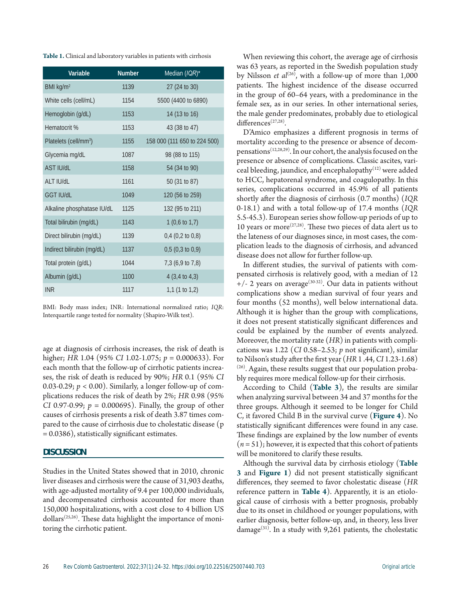| <b>Table 1.</b> Clinical and laboratory variables in patients with cirrhosis |  |  |  |  |
|------------------------------------------------------------------------------|--|--|--|--|
|------------------------------------------------------------------------------|--|--|--|--|

| <b>Variable</b>                   | <b>Number</b> | Median (IQR)*                |
|-----------------------------------|---------------|------------------------------|
| BMI kg/m <sup>2</sup>             | 1139          | 27 (24 to 30)                |
| White cells (cell/mL)             | 1154          | 5500 (4400 to 6890)          |
| Hemoglobin (g/dL)                 | 1153          | 14 (13 to 16)                |
| Hematocrit %                      | 1153          | 43 (38 to 47)                |
| Platelets (cell/mm <sup>3</sup> ) | 1155          | 158 000 (111 650 to 224 500) |
| Glycemia mg/dL                    | 1087          | 98 (88 to 115)               |
| <b>AST IU/dL</b>                  | 1158          | 54 (34 to 90)                |
| Ib\ll T IA                        | 1161          | 50 (31 to 87)                |
| <b>GGT IU/dL</b>                  | 1049          | 120 (56 to 259)              |
| Alkaline phosphatase IU/dL        | 1125          | 132 (95 to 211)              |
| Total bilirubin (mg/dL)           | 1143          | 1 $(0,6 \text{ to } 1,7)$    |
| Direct bilirubin (mg/dL)          | 1139          | $0,4$ (0,2 to 0,8)           |
| Indirect bilirubin (mg/dL)        | 1137          | $0,5$ (0,3 to 0,9)           |
| Total protein (g/dL)              | 1044          | 7,3 (6,9 to 7,8)             |
| Albumin (g/dL)                    | 1100          | $4(3, 4 \text{ to } 4, 3)$   |
| <b>INR</b>                        | 1117          | 1,1 $(1 to 1,2)$             |

BMI: Body mass index; INR: International normalized ratio; *IQR*: Interquartile range tested for normality (Shapiro-Wilk test).

age at diagnosis of cirrhosis increases, the risk of death is higher; *HR* 1.04 (95% *CI* 1.02-1.075; *p* = 0.000633). For each month that the follow-up of cirrhotic patients increases, the risk of death is reduced by 90%; *HR* 0.1 (95% *CI* 0.03-0.29;  $p < 0.00$ ). Similarly, a longer follow-up of complications reduces the risk of death by 2%; *HR* 0.98 (95% *CI* 0.97-0.99; *p* = 0.000695). Finally, the group of other causes of cirrhosis presents a risk of death 3.87 times compared to the cause of cirrhosis due to cholestatic disease (p = 0.0386), statistically significant estimates.

#### **DISCUSSION**

Studies in the United States showed that in 2010, chronic liver diseases and cirrhosis were the cause of 31,903 deaths, with age-adjusted mortality of 9.4 per 100,000 individuals, and decompensated cirrhosis accounted for more than 150,000 hospitalizations, with a cost close to 4 billion US dollars<sup> $(25,26)$ </sup>. These data highlight the importance of monitoring the cirrhotic patient.

When reviewing this cohort, the average age of cirrhosis was 63 years, as reported in the Swedish population study by Nilsson *et al*<sup>(26)</sup>, with a follow-up of more than 1,000 patients. The highest incidence of the disease occurred in the group of 60–64 years, with a predominance in the female sex, as in our series. In other international series, the male gender predominates, probably due to etiological differences<sup>(27,28)</sup>.

D'Amico emphasizes a different prognosis in terms of mortality according to the presence or absence of decompensations(12,28,29). In our cohort, the analysis focused on the presence or absence of complications. Classic ascites, variceal bleeding, jaundice, and encephalopathy<sup>(12)</sup> were added to HCC, hepatorenal syndrome, and coagulopathy. In this series, complications occurred in 45.9% of all patients shortly after the diagnosis of cirrhosis (0.7 months) (*IQR* 0-18.1) and with a total follow-up of 17.4 months (*IQR* 5.5-45.3). European series show follow-up periods of up to 10 years or more<sup> $(27,28)$ </sup>. These two pieces of data alert us to the lateness of our diagnoses since, in most cases, the complication leads to the diagnosis of cirrhosis, and advanced disease does not allow for further follow-up.

In different studies, the survival of patients with compensated cirrhosis is relatively good, with a median of 12  $+/- 2$  years on average<sup>(30-32)</sup>. Our data in patients without complications show a median survival of four years and four months (52 months), well below international data. Although it is higher than the group with complications, it does not present statistically significant differences and could be explained by the number of events analyzed. Moreover, the mortality rate (*HR*) in patients with complications was 1.22 (*CI* 0.58–2.53; *p* not significant), similar to Nilson's study after the first year (*HR* 1 .44, *CI* 1.23-1.68)  $(26)$ . Again, these results suggest that our population probably requires more medical follow-up for their cirrhosis.

According to Child (**Table 3**), the results are similar when analyzing survival between 34 and 37 months for the three groups. Although it seemed to be longer for Child C, it favored Child B in the survival curve (**Figure 4**). No statistically significant differences were found in any case. These findings are explained by the low number of events  $(n=51)$ ; however, it is expected that this cohort of patients will be monitored to clarify these results.

Although the survival data by cirrhosis etiology (**Table 3** and **Figure 1**) did not present statistically significant differences, they seemed to favor cholestatic disease (*HR* reference pattern in **Table 4**). Apparently, it is an etiological cause of cirrhosis with a better prognosis, probably due to its onset in childhood or younger populations, with earlier diagnosis, better follow-up, and, in theory, less liver damage<sup>(31)</sup>. In a study with 9,261 patients, the cholestatic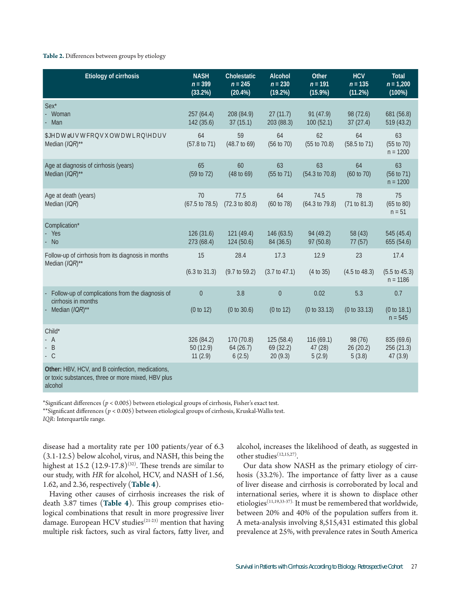## **Table 2.** Differences between groups by etiology

| <b>Etiology of cirrhosis</b>                                                                           | <b>NASH</b><br>$n = 399$<br>(33.2%) | <b>Cholestatic</b><br>$n = 245$<br>$(20.4\%)$ | <b>Alcohol</b><br>$n = 230$<br>(19.2%) | <b>Other</b><br>$n = 191$<br>(15.9%) | <b>HCV</b><br>$n = 135$<br>(11.2%) | <b>Total</b><br>$n = 1,200$<br>(100%)     |
|--------------------------------------------------------------------------------------------------------|-------------------------------------|-----------------------------------------------|----------------------------------------|--------------------------------------|------------------------------------|-------------------------------------------|
| Sex*<br>Woman<br>Man                                                                                   | 257 (64.4)<br>142 (35.6)            | 208 (84.9)<br>37(15.1)                        | 27(11.7)<br>203 (88.3)                 | 91(47.9)<br>100(52.1)                | 98 (72.6)<br>37(27.4)              | 681 (56.8)<br>519 (43.2)                  |
| Age at first consultation (years)<br>Median (IQR)**                                                    | 64<br>(57.8 to 71)                  | 59<br>$(48.7 \text{ to } 69)$                 | 64<br>(56 to 70)                       | 62<br>$(55 \text{ to } 70.8)$        | 64<br>$(58.5 \text{ to } 71)$      | 63<br>$(55 \text{ to } 70)$<br>$n = 1200$ |
| Age at diagnosis of cirrhosis (years)<br>Median (IQR)**                                                | 65<br>(59 to 72)                    | 60<br>(48 to 69)                              | 63<br>(55 to 71)                       | 63<br>$(54.3 \text{ to } 70.8)$      | 64<br>(60 to 70)                   | 63<br>(56 to 71)<br>$n = 1200$            |
| Age at death (years)<br>Median (IQR)                                                                   | 70<br>(67.5 to 78.5)                | 77.5<br>(72.3 to 80.8)                        | 64<br>(60 to 78)                       | 74.5<br>(64.3 to 79.8)               | 78<br>(71 to 81.3)                 | 75<br>$(65 \text{ to } 80)$<br>$n = 51$   |
| Complication*<br>Yes<br><b>No</b>                                                                      | 126(31.6)<br>273 (68.4)             | 121(49.4)<br>124(50.6)                        | 146 (63.5)<br>84 (36.5)                | 94 (49.2)<br>97(50.8)                | 58 (43)<br>77(57)                  | 545 (45.4)<br>655 (54.6)                  |
| Follow-up of cirrhosis from its diagnosis in months<br>Median (IQR)**                                  | 15                                  | 28.4                                          | 17.3                                   | 12.9                                 | 23                                 | 17.4                                      |
|                                                                                                        | (6.3 to 31.3)                       | $(9.7 \text{ to } 59.2)$                      | $(3.7 \text{ to } 47.1)$               | (4 to 35)                            | $(4.5 \text{ to } 48.3)$           | $(5.5 \text{ to } 45.3)$<br>$n = 1186$    |
| Follow-up of complications from the diagnosis of<br>cirrhosis in months                                | $\mathbf{0}$                        | 3.8                                           | $\mathbf{0}$                           | 0.02                                 | 5.3                                | 0.7                                       |
| Median (IQR)**                                                                                         | (0 to 12)                           | (0 to 30.6)                                   | (0 to 12)                              | (0 to 33.13)                         | (0 to 33.13)                       | (0 to 18.1)<br>$n = 545$                  |
| Child*<br>$-A$<br>$- B$<br>$-$ C                                                                       | 326 (84.2)<br>50 (12.9)<br>11(2.9)  | 170 (70.8)<br>64 (26.7)<br>6(2.5)             | 125(58.4)<br>69 (32.2)<br>20(9.3)      | 116 (69.1)<br>47 (28)<br>5(2.9)      | 98 (76)<br>26 (20.2)<br>5(3.8)     | 835 (69.6)<br>256 (21.3)<br>47(3.9)       |
| Other: HBV, HCV, and B coinfection, medications,<br>or toxic substances, three or more mixed, HBV plus |                                     |                                               |                                        |                                      |                                    |                                           |

alcohol

\*Significant differences (*p* < 0.005) between etiological groups of cirrhosis, Fisher's exact test.

\*\*Significant differences (*p* < 0.005) between etiological groups of cirrhosis, Kruskal-Wallis test. *IQR*: Interquartile range.

disease had a mortality rate per 100 patients/year of 6.3 (3.1-12.5) below alcohol, virus, and NASH, this being the highest at  $15.2$   $(12.9-17.8)^{(32)}$ . These trends are similar to our study, with *HR* for alcohol, HCV, and NASH of 1.56, 1.62, and 2.36, respectively (**Table 4**).

Having other causes of cirrhosis increases the risk of death 3.87 times (**Table 4**). This group comprises etiological combinations that result in more progressive liver damage. European HCV studies<sup>(21-23)</sup> mention that having multiple risk factors, such as viral factors, fatty liver, and

alcohol, increases the likelihood of death, as suggested in other studies<sup>(12,15,27)</sup>.

Our data show NASH as the primary etiology of cirrhosis (33.2%). The importance of fatty liver as a cause of liver disease and cirrhosis is corroborated by local and international series, where it is shown to displace other etiologies(11,19,33-37). It must be remembered that worldwide, between 20% and 40% of the population suffers from it. A meta-analysis involving 8,515,431 estimated this global prevalence at 25%, with prevalence rates in South America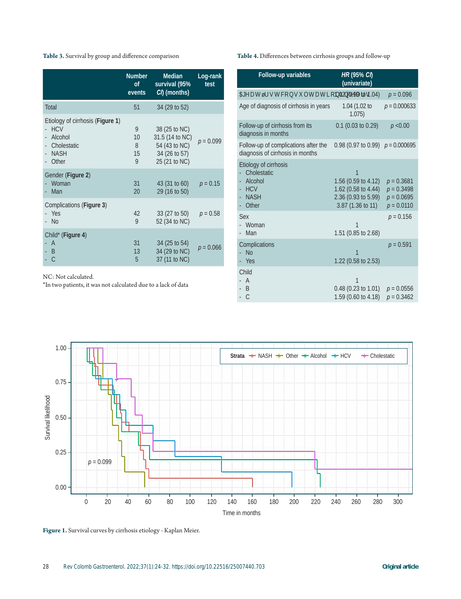## **Table 3.** Survival by group and difference comparison

|                                                                                                           | <b>Number</b><br><b>of</b><br>events | <b>Median</b><br>survival (95%<br>CI) (months)                                      | Log-rank<br>test |
|-----------------------------------------------------------------------------------------------------------|--------------------------------------|-------------------------------------------------------------------------------------|------------------|
| <b>Total</b>                                                                                              | 51                                   | 34 (29 to 52)                                                                       |                  |
| Etiology of cirrhosis ( <b>Figure 1</b> )<br><b>HCV</b><br>Alcohol<br>Cholestatic<br><b>NASH</b><br>Other | 9<br>10<br>8<br>15<br>9              | 38 (25 to NC)<br>31.5 (14 to NC)<br>54 (43 to NC)<br>34 (26 to 57)<br>25 (21 to NC) | $p = 0.099$      |
| Gender (Figure 2)<br>Woman<br>Man                                                                         | 31<br>20                             | 43 (31 to 60)<br>29 (16 to 50)                                                      | $p = 0.15$       |
| Complications (Figure 3)<br>- Yes<br>- No                                                                 | 42<br>9                              | $33(27 \text{ to } 50)$<br>52 (34 to NC)                                            | $p = 0.58$       |
| Child* (Figure 4)<br>$\overline{A}$<br>- B<br>- C                                                         | 31<br>13<br>5                        | 34 (25 to 54)<br>34 (29 to NC)<br>37 (11 to NC)                                     | $p = 0.066$      |

NC: Not calculated.

\*In two patients, it was not calculated due to a lack of data

**Table 4.** Differences between cirrhosis groups and follow-up

| <b>Follow-up variables</b>                                                            | HR (95% CI)<br>(univariate)                                                                 |                                                              |
|---------------------------------------------------------------------------------------|---------------------------------------------------------------------------------------------|--------------------------------------------------------------|
| Age at first consultation in years                                                    | 1.02 (0.99 to 1.04)                                                                         | $p = 0.096$                                                  |
| Age of diagnosis of cirrhosis in years                                                | 1.04 (1.02 to<br>1.075)                                                                     | $p = 0.000633$                                               |
| Follow-up of cirrhosis from its<br>diagnosis in months                                | $0.1$ (0.03 to 0.29)                                                                        | p < 0.00                                                     |
| Follow-up of complications after the<br>diagnosis of cirrhosis in months              | 0.98 (0.97 to 0.99) $p = 0.000695$                                                          |                                                              |
| Etiology of cirrhosis<br>Cholestatic<br>Alcohol<br><b>HCV</b><br><b>NASH</b><br>Other | 1<br>1.56 (0.59 to 4.12)<br>1.62 (0.58 to 4.44)<br>2.36 (0.93 to 5.99)<br>3.87 (1.36 to 11) | $p = 0.3681$<br>$p = 0.3498$<br>$p = 0.0695$<br>$p = 0.0110$ |
| Sex<br>Woman<br>Man                                                                   | 1.51 (0.85 to 2.68)                                                                         | $p = 0.156$                                                  |
| Complications<br><b>No</b><br>- Yes                                                   | 1.22 (0.58 to 2.53)                                                                         | $p = 0.591$                                                  |
| Child<br>A<br>- B<br>$\mathsf{C}$                                                     | 1<br>$0.48$ (0.23 to 1.01)<br>1.59 (0.60 to 4.18)                                           | $p = 0.0556$<br>$p = 0.3462$                                 |



**Figure 1.** Survival curves by cirrhosis etiology - Kaplan Meier.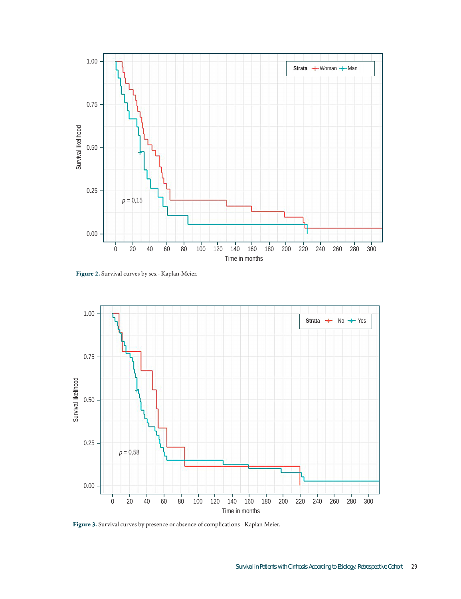

**Figure 2.** Survival curves by sex - Kaplan-Meier.



**Figure 3.** Survival curves by presence or absence of complications - Kaplan Meier.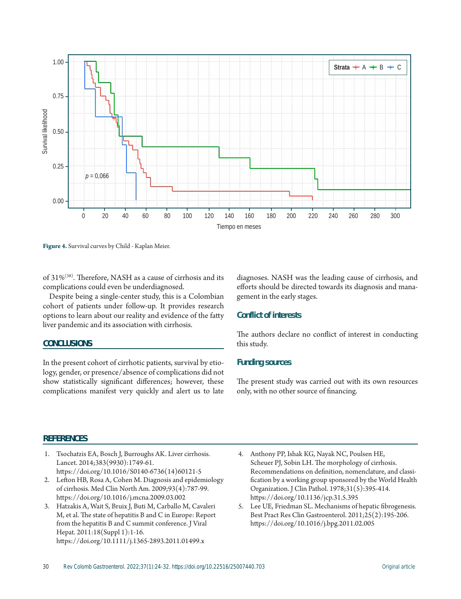

**Figure 4.** Survival curves by Child - Kaplan Meier.

of 31%(38). Therefore, NASH as a cause of cirrhosis and its complications could even be underdiagnosed.

Despite being a single-center study, this is a Colombian cohort of patients under follow-up. It provides research options to learn about our reality and evidence of the fatty liver pandemic and its association with cirrhosis.

#### **CONCLUSIONS**

In the present cohort of cirrhotic patients, survival by etiology, gender, or presence/absence of complications did not show statistically significant differences; however, these diagnoses. NASH was the leading cause of cirrhosis, and efforts should be directed towards its diagnosis and management in the early stages.

#### **Conflict of interests**

The authors declare no conflict of interest in conducting this study.

## **Funding sources**

The present study was carried out with its own resources only, with no other source of financing.

## **REFERENCES**

- 1. Tsochatzis EA, Bosch J, Burroughs AK. Liver cirrhosis. Lancet. 2014;383(9930):1749-61. https://doi.org/10.1016/S0140-6736(14)60121-5
- 2. Lefton HB, Rosa A, Cohen M. Diagnosis and epidemiology of cirrhosis. Med Clin North Am. 2009;93(4):787-99. https://doi.org/10.1016/j.mcna.2009.03.002
- 3. Hatzakis A, Wait S, Bruix J, Buti M, Carballo M, Cavaleri M, et al. The state of hepatitis B and C in Europe: Report from the hepatitis B and C summit conference. J Viral Hepat. 2011:18(Suppl 1):1-16. https://doi.org/10.1111/j.1365-2893.2011.01499.x
- 4. Anthony PP, Ishak KG, Nayak NC, Poulsen HE, Scheuer PJ, Sobin LH. The morphology of cirrhosis. Recommendations on definition, nomenclature, and classification by a working group sponsored by the World Health Organization. J Clin Pathol. 1978;31(5):395-414. https://doi.org/10.1136/jcp.31.5.395
- 5. Lee UE, Friedman SL. Mechanisms of hepatic fibrogenesis. Best Pract Res Clin Gastroenterol. 2011;25(2):195-206. https://doi.org/10.1016/j.bpg.2011.02.005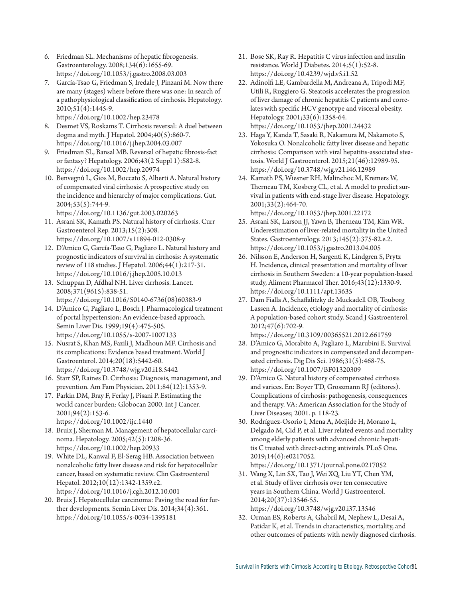- 6. Friedman SL. Mechanisms of hepatic fibrogenesis. Gastroenterology. 2008;134(6):1655-69. https://doi.org/10.1053/j.gastro.2008.03.003
- 7. García-Tsao G, Friedman S, Iredale J, Pinzani M. Now there are many (stages) where before there was one: In search of a pathophysiological classification of cirrhosis. Hepatology. 2010;51(4):1445-9.
- https://doi.org/10.1002/hep.23478 8. Desmet VS, Roskams T. Cirrhosis reversal: A duel between
- dogma and myth. J Hepatol. 2004;40(5):860-7. https://doi.org/10.1016/j.jhep.2004.03.007
- 9. Friedman SL, Bansal MB. Reversal of hepatic fibrosis-fact or fantasy? Hepatology. 2006;43(2 Suppl 1):S82-8. https://doi.org/10.1002/hep.20974
- 10. Benvegnù L, Gios M, Boccato S, Alberti A. Natural history of compensated viral cirrhosis: A prospective study on the incidence and hierarchy of major complications. Gut. 2004;53(5):744-9.
- https://doi.org/10.1136/gut.2003.020263 11. Asrani SK, Kamath PS. Natural history of cirrhosis. Curr
- Gastroenterol Rep. 2013;15(2):308. https://doi.org/10.1007/s11894-012-0308-y
- 12. D'Amico G, García-Tsao G, Pagliaro L. Natural history and prognostic indicators of survival in cirrhosis: A systematic review of 118 studies. J Hepatol. 2006;44(1):217-31. https://doi.org/10.1016/j.jhep.2005.10.013
- 13. Schuppan D, Afdhal NH. Liver cirrhosis. Lancet. 2008;371(9615):838-51. https://doi.org/10.1016/S0140-6736(08)60383-9
- 14. D'Amico G, Pagliaro L, Bosch J. Pharmacological treatment of portal hypertension: An evidence-based approach. Semin Liver Dis. 1999;19(4):475-505. https://doi.org/10.1055/s-2007-1007133
- 15. Nusrat S, Khan MS, Fazili J, Madhoun MF. Cirrhosis and its complications: Evidence based treatment. World J Gastroenterol. 2014;20(18):5442-60. https://doi.org/10.3748/wjg.v20.i18.5442
- 16. Starr SP, Raines D. Cirrhosis: Diagnosis, management, and prevention. Am Fam Physician. 2011;84(12):1353-9.
- 17. Parkin DM, Bray F, Ferlay J, Pisani P. Estimating the world cancer burden: Globocan 2000. Int J Cancer. 2001;94(2):153-6. https://doi.org/10.1002/ijc.1440
- 18. Bruix J, Sherman M. Management of hepatocellular carcinoma. Hepatology. 2005;42(5):1208-36. https://doi.org/10.1002/hep.20933
- 19. White DL, Kanwal F, El-Serag HB. Association between nonalcoholic fatty liver disease and risk for hepatocellular cancer, based on systematic review. Clin Gastroenterol Hepatol. 2012;10(12):1342-1359.e2. https://doi.org/10.1016/j.cgh.2012.10.001
- 20. Bruix J. Hepatocellular carcinoma: Paving the road for further developments. Semin Liver Dis. 2014;34(4):361. https://doi.org/10.1055/s-0034-1395181
- 21. Bose SK, Ray R. Hepatitis C virus infection and insulin resistance. World J Diabetes. 2014;5(1):52-8. https://doi.org/10.4239/wjd.v5.i1.52
- 22. Adinolfi LE, Gambardella M, Andreana A, Tripodi MF, Utili R, Ruggiero G. Steatosis accelerates the progression of liver damage of chronic hepatitis C patients and correlates with specific HCV genotype and visceral obesity. Hepatology. 2001;33(6):1358-64. https://doi.org/10.1053/jhep.2001.24432
- 23. Haga Y, Kanda T, Sasaki R, Nakamura M, Nakamoto S, Yokosuka O. Nonalcoholic fatty liver disease and hepatic cirrhosis: Comparison with viral hepatitis-associated steatosis. World J Gastroenterol. 2015;21(46):12989-95. https://doi.org/10.3748/wjg.v21.i46.12989
- 24. Kamath PS, Wiesner RH, Malinchoc M, Kremers W, Therneau TM, Kosberg CL, et al. A model to predict survival in patients with end-stage liver disease. Hepatology. 2001;33(2):464-70. https://doi.org/10.1053/jhep.2001.22172
- 25. Asrani SK, Larson JJ, Yawn B, Therneau TM, Kim WR. Underestimation of liver-related mortality in the United States. Gastroenterology. 2013;145(2):375-82.e.2. https://doi.org/10.1053/j.gastro.2013.04.005
- 26. Nilsson E, Anderson H, Sargenti K, Lindgren S, Prytz H. Incidence, clinical presentation and mortality of liver cirrhosis in Southern Sweden: a 10-year population-based study, Aliment Pharmacol Ther. 2016;43(12):1330-9. https://doi.org/10.1111/apt.13635
- 27. Dam Fialla A, Schaffalitzky de Muckadell OB, Touborg Lassen A. Incidence, etiology and mortality of cirrhosis: A population-based cohort study. Scand J Gastroenterol. 2012;47(6):702-9. https://doi.org/10.3109/00365521.2012.661759
- 28. D'Amico G, Morabito A, Pagliaro L, Marubini E. Survival and prognostic indicators in compensated and decompensated cirrhosis. Dig Dis Sci. 1986;31(5):468-75. https://doi.org/10.1007/BF01320309
- 29. D'Amico G. Natural history of compensated cirrhosis and varices. En: Boyer TD, Groszmann RJ (editores). Complications of cirrhosis: pathogenesis, consequences and therapy. VA: American Association for the Study of Liver Diseases; 2001. p. 118-23.
- 30. Rodríguez-Osorio I, Mena A, Meijide H, Morano L, Delgado M, Cid P, et al. Liver related events and mortality among elderly patients with advanced chronic hepatitis C treated with direct-acting antivirals. PLoS One. 2019;14(6):e0217052. https://doi.org/10.1371/journal.pone.0217052
- 31. Wang X, Lin SX, Tao J, Wei XQ, Liu YT, Chen YM, et al. Study of liver cirrhosis over ten consecutive years in Southern China. World J Gastroenterol. 2014;20(37):13546-55. https://doi.org/10.3748/wjg.v20.i37.13546
- 32. Orman ES, Roberts A, Ghabril M, Nephew L, Desai A, Patidar K, et al. Trends in characteristics, mortality, and other outcomes of patients with newly diagnosed cirrhosis.